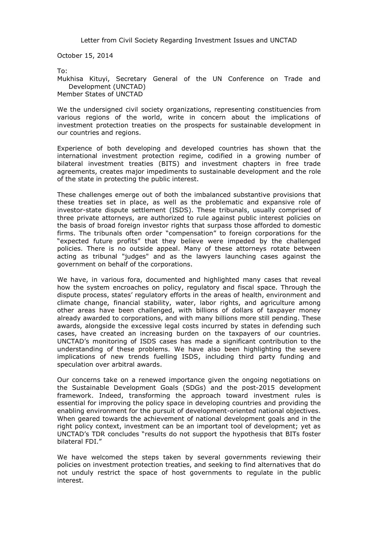Letter from Civil Society Regarding Investment Issues and UNCTAD

October 15, 2014

To:

Mukhisa Kituyi, Secretary General of the UN Conference on Trade and Development (UNCTAD)

Member States of UNCTAD

We the undersigned civil society organizations, representing constituencies from various regions of the world, write in concern about the implications of investment protection treaties on the prospects for sustainable development in our countries and regions.

Experience of both developing and developed countries has shown that the international investment protection regime, codified in a growing number of bilateral investment treaties (BITS) and investment chapters in free trade agreements, creates major impediments to sustainable development and the role of the state in protecting the public interest.

These challenges emerge out of both the imbalanced substantive provisions that these treaties set in place, as well as the problematic and expansive role of investor-state dispute settlement (ISDS). These tribunals, usually comprised of three private attorneys, are authorized to rule against public interest policies on the basis of broad foreign investor rights that surpass those afforded to domestic firms. The tribunals often order "compensation" to foreign corporations for the "expected future profits" that they believe were impeded by the challenged policies. There is no outside appeal. Many of these attorneys [rotate between](http://corporateeurope.org/sites/default/files/publications/profiting-from-injustice.pdf)  [acting as tribunal "judges" and as the lawyers launching cases against the](http://corporateeurope.org/sites/default/files/publications/profiting-from-injustice.pdf)  [government on behalf of the corporations.](http://corporateeurope.org/sites/default/files/publications/profiting-from-injustice.pdf)

We have, in various fora, documented and highlighted many cases that reveal how the system encroaches on policy, regulatory and fiscal space. Through the dispute process, states' regulatory efforts in the areas of health, environment and climate change, financial stability, water, labor rights, and agriculture among other areas have been challenged, with billions of dollars of taxpayer money already awarded to corporations, and with many billions more still pending. These awards, alongside the excessive legal costs incurred by states in defending such cases, have created an increasing burden on the taxpayers of our countries. UNCTAD's monitoring of ISDS cases has made a significant contribution to the understanding of these problems. We have also been highlighting the severe implications of new trends fuelling ISDS, including third party funding and speculation over arbitral awards.

Our concerns take on a renewed importance given the ongoing negotiations on the Sustainable Development Goals (SDGs) and the post-2015 development framework. Indeed, transforming the approach toward investment rules is essential for improving the policy space in developing countries and providing the enabling environment for the pursuit of development-oriented national objectives. When geared towards the achievement of national development goals and in the right policy context, investment can be an important tool of development; yet as UNCTAD's TDR concludes "results do not support the hypothesis that BITs foster bilateral FDI."

We have welcomed the steps taken by several governments reviewing their policies on investment protection treaties, and seeking to find alternatives that do not unduly restrict the space of host governments to regulate in the public interest.